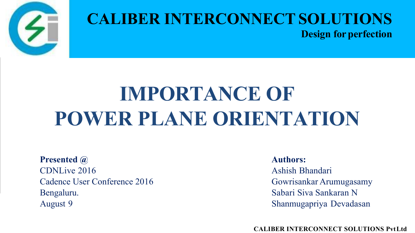

### **CALIBER INTERCONNECTSOLUTIONS Design for perfection**

# **IMPORTANCE OF POWER PLANE ORIENTATION**

**Presented @** CDNLive 2016 Cadence User Conference 2016 Bengaluru. August 9

**Authors:**

Ashish Bhandari Gowrisankar Arumugasamy Sabari Siva Sankaran N Shanmugapriya Devadasan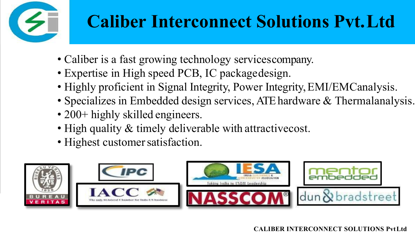

## **Caliber Interconnect Solutions Pvt.Ltd**

- Caliber is a fast growing technology servicescompany.
- Expertise in High speed PCB, IC packagedesign.
- Highly proficient in Signal Integrity, Power Integrity, EMI/EMCanalysis.
- Specializes in Embedded design services, ATE hardware & Thermalanalysis.
- 200+ highly skilled engineers.
- High quality & timely deliverable with attractive cost.
- Highest customer satisfaction.

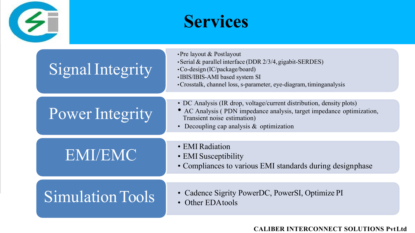

### **Services**

| Signal Integrity        | • Pre layout & Postlayout<br>· Serial & parallel interface (DDR 2/3/4, gigabit-SERDES)<br>•Co-design (IC/package/board)<br>·IBIS/IBIS-AMI based system SI<br>• Crosstalk, channel loss, s-parameter, eye-diagram, timinganalysis |
|-------------------------|----------------------------------------------------------------------------------------------------------------------------------------------------------------------------------------------------------------------------------|
| Power Integrity         | • DC Analysis (IR drop, voltage/current distribution, density plots)<br>AC Analysis (PDN impedance analysis, target impedance optimization,<br>Transient noise estimation)<br>• Decoupling cap analysis $&$ optimization         |
| <b>EMI/EMC</b>          | • EMI Radiation<br>• EMI Susceptibility<br>• Compliances to various EMI standards during designphase                                                                                                                             |
| <b>Simulation Tools</b> | • Cadence Sigrity PowerDC, PowerSI, Optimize PI<br>Other EDAtools<br>$\bullet$                                                                                                                                                   |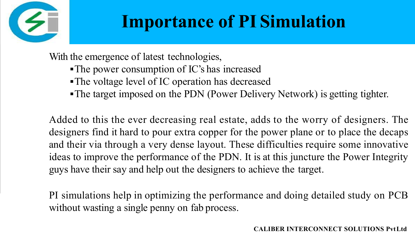

## **Importance of PI Simulation**

With the emergence of latest technologies,

- The power consumption of IC's has increased
- The voltage level of IC operation has decreased
- The target imposed on the PDN (Power Delivery Network) is getting tighter.

Added to this the ever decreasing real estate, adds to the worry of designers. The designers find it hard to pour extra copper for the power plane or to place the decaps and their via through a very dense layout. These difficulties require some innovative ideas to improve the performance of the PDN. It is at this juncture the Power Integrity guys have their say and help out the designers to achieve the target.

PI simulations help in optimizing the performance and doing detailed study on PCB without wasting a single penny on fab process.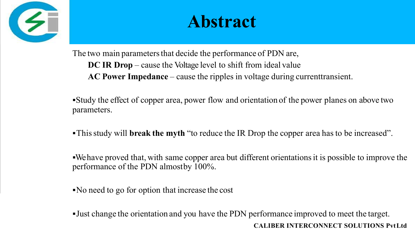

### **Abstract**

The two main parameters that decide the performance of PDN are, **DC IR Drop** – cause the Voltage level to shift from ideal value **AC Power Impedance** – cause the ripples in voltage during currenttransient.

Study the effect of copper area, power flow and orientation of the power planes on above two parameters.

Thisstudy will **break the myth** "to reduce the IR Drop the copper area has to be increased".

Wehave proved that, with same copper area but different orientationsit is possible to improve the performance of the PDN almostby 100%.

No need to go for option that increase the cost

Just change the orientation and you have the PDN performanceimproved to meet the target. **CALIBER INTERCONNECT SOLUTIONS PvtLtd**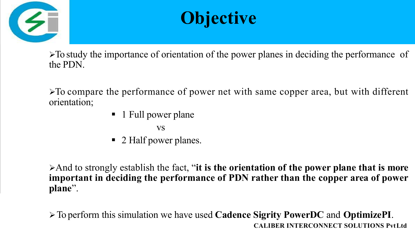



 $\triangleright$  To study the importance of orientation of the power planes in deciding the performance of the PDN.

To compare the performance of power net with same copper area, but with different orientation;

- **1** Full power plane
	- vs
- 2 Half power planes.

And to strongly establish the fact, "**it is the orientation of the power plane that is more important in deciding the performance of PDN rather than the copper area of power plane**".

To perform this simulation we have used **Cadence Sigrity PowerDC** and **OptimizePI**. **CALIBER INTERCONNECT SOLUTIONS PvtLtd**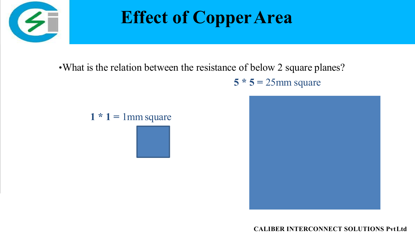

## **Effect of CopperArea**

•What is the relation between the resistance of below 2 square planes?

 $5 * 5 = 25$ mm square

 $1 * 1 = 1$  mm square

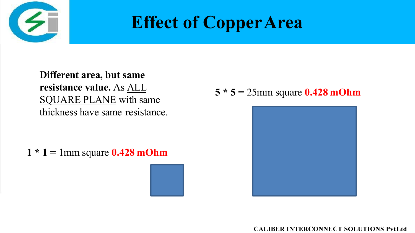

### **Effect of CopperArea**

**Different area, but same resistance value.** As ALL SQUARE PLANE with same thickness have same resistance.

**1 \* 1 =** 1mm square **0.428 mOhm**

**5 \* 5 =** 25mm square **0.428 mOhm**

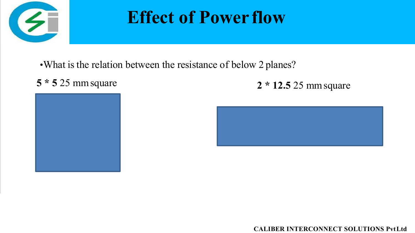

### **Effect of Power flow**

•What is the relation between the resistance of below 2 planes?





**5 \* 5** 25 mmsquare **2 \* 12.5** 25 mmsquare

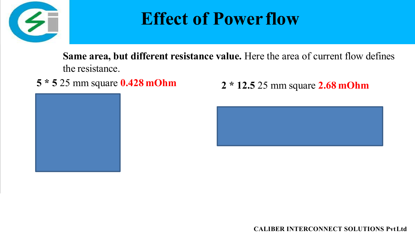

### **Effect of Power flow**

**Same area, but different resistance value.** Here the area of current flow defines the resistance.





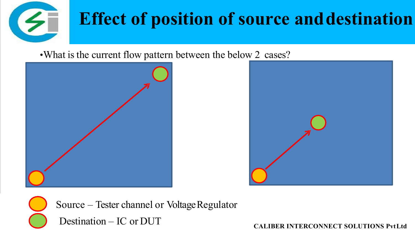

## **Effect of position of source anddestination**

•What is the current flow pattern between the below 2 cases?







Source – Tester channel or VoltageRegulator

Destination – IC or DUT **CALIBER INTERCONNECT SOLUTIONS PvtLtd**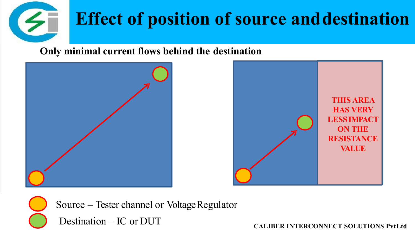

## **Effect of position of source anddestination**

### **Only minimal current flows behind the destination**







Source – Tester channel or VoltageRegulator

Destination – IC or DUT **CALIBER INTERCONNECT SOLUTIONS PvtLtd**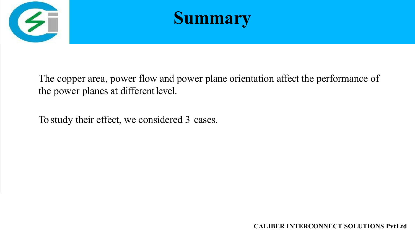



The copper area, power flow and power plane orientation affect the performance of the power planes at different level.

To study their effect, we considered 3 cases.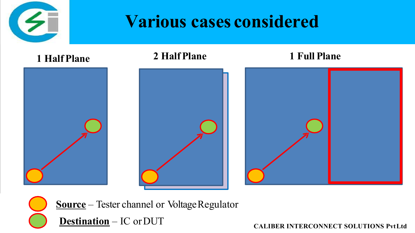

### **Various cases considered**



**Source** – Tester channel or Voltage Regulator

**Destination** – IC or DUT **CALIBER INTERCONNECT** SOLUTIONS PvtLtd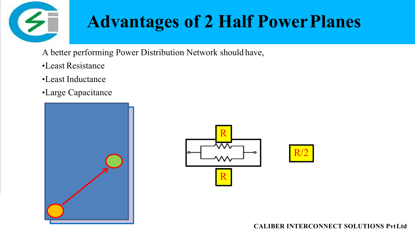

## **Advantages of 2 Half Power Planes**

- A better performing Power Distribution Network should have,
- •Least Resistance
- •Least Inductance
- •Large Capacitance



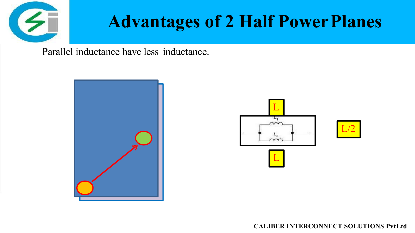

### **Advantages of 2 Half Power Planes**

Parallel inductance have less inductance.



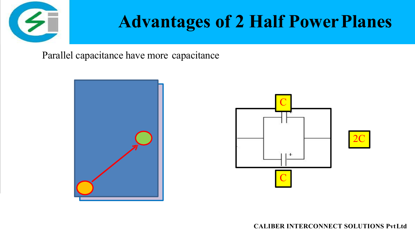

## **Advantages of 2 Half Power Planes**

Parallel capacitance have more capacitance



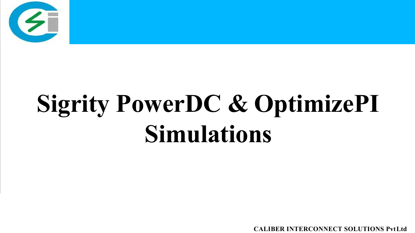

# **Sigrity PowerDC & OptimizePI Simulations**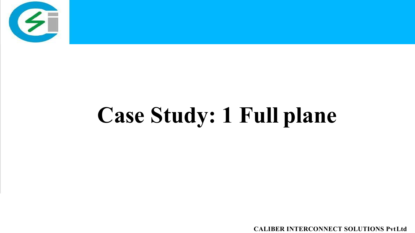

# **Case Study: 1 Full plane**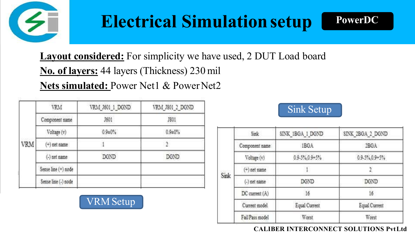

### **Electrical Simulationsetup**

**Layout considered:** For simplicity we have used, 2 DUT Load board **No. of layers:** 44 layers (Thickness) 230 mil **Nets simulated:** Power Net1 & Power Net2

|            | <b>VRM</b>          | VRM J601 1 DGND | VRM_J801_2_DGND |
|------------|---------------------|-----------------|-----------------|
|            | Component name      | J601            | <b>JS01</b>     |
|            | Voltage (v)         | $0.9 \pm 0\%$   | $0.9 \pm 0\%$   |
| <b>VRM</b> | $(+)$ net name      |                 |                 |
|            | (-) net name        | <b>DGND</b>     | <b>DGND</b>     |
|            | Sense line (+) node |                 |                 |
|            | Sense line (-) node |                 |                 |

VRMSetup

### Sink Setup

**PowerDC**

| Sink | Sink            | SINK IBGA I DGND       | SINK 2BGA 2 DGND       |
|------|-----------------|------------------------|------------------------|
|      | Component name  | IBGA                   | 2BGA                   |
|      | Voltage (v)     | $0.9 - 5\%, 0.9 + 5\%$ | $0.9 - 5\%, 0.9 + 5\%$ |
|      | $(+)$ net name  |                        |                        |
|      | $(-)$ net name  | DGND                   | DGND                   |
|      | DC current (A)  | 16                     | 16                     |
|      | Current model   | Equal Current          | Equal Current          |
|      | Fail Pass model | Worst                  | Worst                  |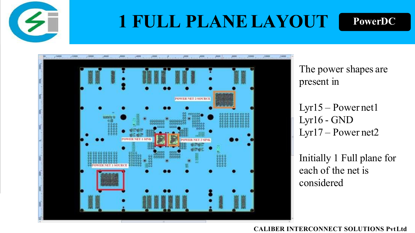

### **1 FULL PLANELAYOUT**





The power shapes are present in

Lyr15 – Power net1  $Lyr16 - GND$ Lyr17 – Power net2

Initially 1 Full plane for each of the net is considered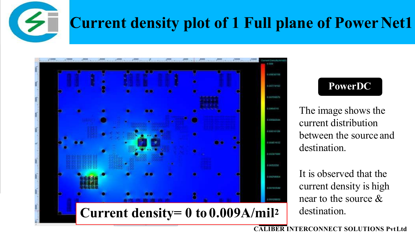

### **Current density plot of 1 Full plane of Power Net1**



### **PowerDC**

The image shows the current distribution between the source and destination.

It is observed that the current density is high near to the source & destination.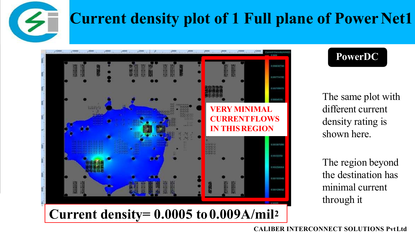

### **Current density plot of 1 Full plane of Power Net1**



### **PowerDC**

The same plot with different current density rating is shown here.

The region beyond the destination has minimal current through it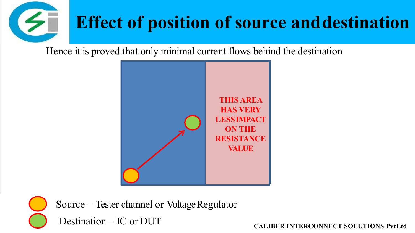

Hence it is proved that only minimal current flows behind the destination





Source – Tester channel or VoltageRegulator

Destination – IC or DUT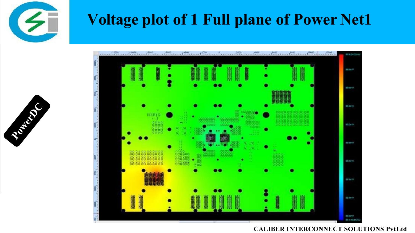

### **Voltage plot of 1 Full plane of Power Net1**



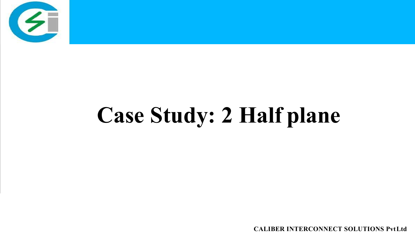

# **Case Study: 2 Half plane**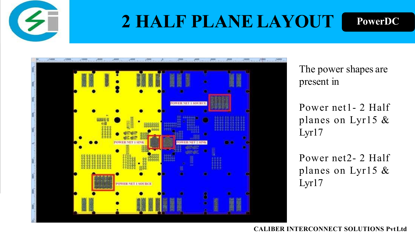

## **2 HALF PLANE LAYOUT**





The power shapes are present in

Power net1- 2 Half planes on Lyr15 & Lyr17

Power net2- 2 Half planes on Lyr15 & Lyr17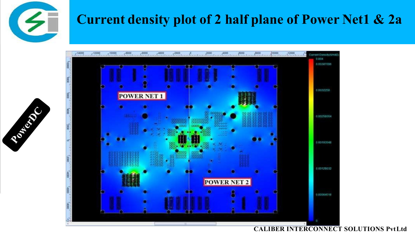

Royald C

### **Current density plot of 2 half plane of Power Net1 & 2a**

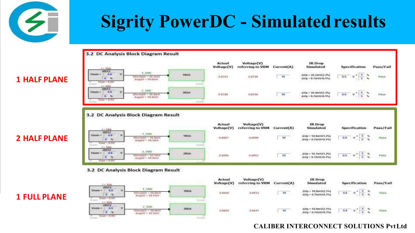

#### 3.2 DC Analysis Block Diagram Result



#### 3.2 DC Analysis Block Diagram Result



#### **3.2 DC Analysis Block Diagram Result**

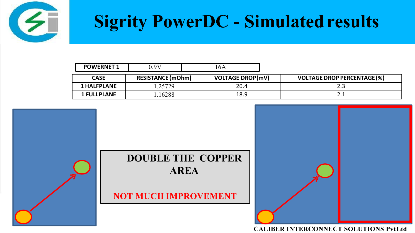

| <b>POWERNET 1</b>  | $0.9\mathrm{V}$          | l6A                     |                                    |
|--------------------|--------------------------|-------------------------|------------------------------------|
| <b>CASE</b>        | <b>RESISTANCE (mOhm)</b> | <b>VOLTAGE DROP(mV)</b> | <b>VOLTAGE DROP PERCENTAGE (%)</b> |
| <b>1 HALFPLANE</b> | .25729                   | 20.4                    | ر .                                |
| <b>1 FULLPLANE</b> | .16288                   | 18.9                    | <u>.</u>                           |

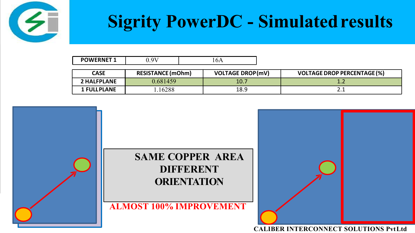

| <b>POWERNET 1</b>  | $0.9\mathrm{V}$          | 16A                     |                                    |  |
|--------------------|--------------------------|-------------------------|------------------------------------|--|
| <b>CASE</b>        | <b>RESISTANCE (mOhm)</b> | <b>VOLTAGE DROP(mV)</b> | <b>VOLTAGE DROP PERCENTAGE (%)</b> |  |
| 2 HALFPLANE        | 0.681459                 | 10.7                    | . <i>.</i>                         |  |
| <b>1 FULLPLANE</b> | .16288                   | 18.9                    | <u></u>                            |  |

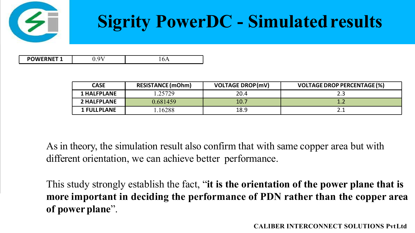

| <b>POWERNET?</b><br>$\alpha$<br><b>.,</b><br>1011 |
|---------------------------------------------------|
|---------------------------------------------------|

| <b>CASE</b>        | <b>RESISTANCE (mOhm)</b> | <b>VOLTAGE DROP(mV)</b> | <b>VOLTAGE DROP PERCENTAGE (%)</b> |
|--------------------|--------------------------|-------------------------|------------------------------------|
| <b>1 HALFPLANE</b> | .25729                   | 20.4                    | ر .                                |
| <b>2 HALFPLANE</b> | 0.681459                 | 10.7                    | .                                  |
| <b>1 FULLPLANE</b> | 16288                    | 18.9                    | <u>.</u>                           |

As in theory, the simulation result also confirm that with same copper area but with different orientation, we can achieve better performance.

This study strongly establish the fact, "**it is the orientation of the power plane that is more important in deciding the performance of PDN rather than the copper area of power plane**".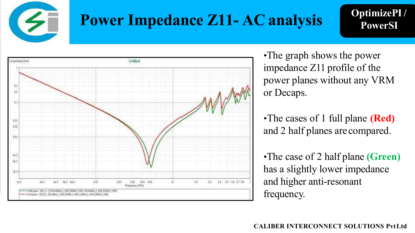

### **Power Impedance Z11- AC analysis**

**OptimizePI/ PowerSI**



•The graph shows the power impedance Z11 profile of the power planes without any VRM or Decaps.

•The cases of 1 full plane **(Red)** and 2 half planes arecompared.

•The case of 2 half plane **(Green)** has a slightly lower impedance and higher anti-resonant frequency.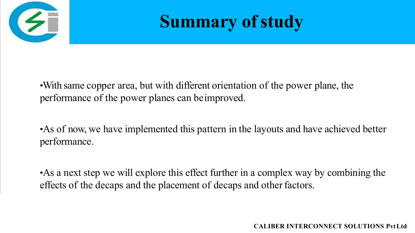

### **Summary** of study

•With same copper area, but with different orientation of the power plane, the performance of the power planes can beimproved.

•As of now, we have implemented this pattern in the layouts and have achieved better performance.

•As a next step we will explore this effect further in a complex way by combining the effects of the decaps and the placement of decaps and other factors.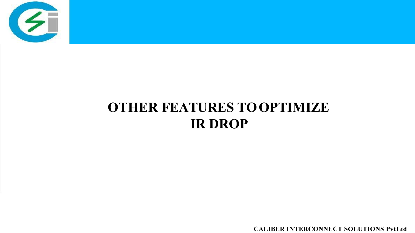

### **OTHER FEATURES TOOPTIMIZE IR DROP**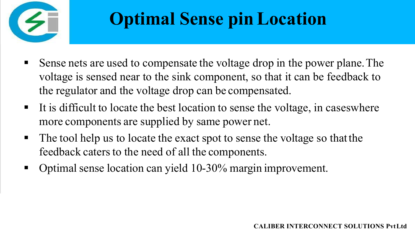

## **Optimal Sense pin Location**

- Sense nets are used to compensate the voltage drop in the power plane. The voltage is sensed near to the sink component, so that it can be feedback to the regulator and the voltage drop can be compensated.
- It is difficult to locate the best location to sense the voltage, in cases where more components are supplied by same power net.
- The tool help us to locate the exact spot to sense the voltage so that the feedback caters to the need of all the components.
- Optimal sense location can yield 10-30% margin improvement.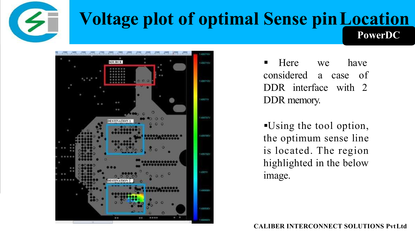

### **Voltage plot of optimal Sense pinLocation PowerDC**



 $Here$  we considered a case of DDR interface with 2 have DDR memory.

Using the tool option, the optimum sense line is located. The region highlighted in the below image.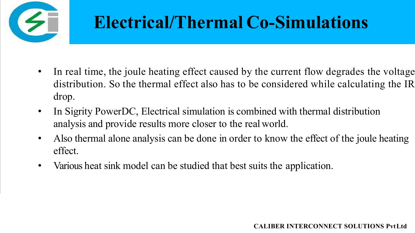

## **Electrical/Thermal Co-Simulations**

- In real time, the joule heating effect caused by the current flow degrades the voltage distribution. So the thermal effect also has to be considered while calculating the IR drop.
- In Sigrity PowerDC, Electrical simulation is combined with thermal distribution analysis and provide results more closer to the realworld.
- Also thermal alone analysis can be done in order to know the effect of the joule heating effect.
- Various heat sink model can be studied that best suits the application.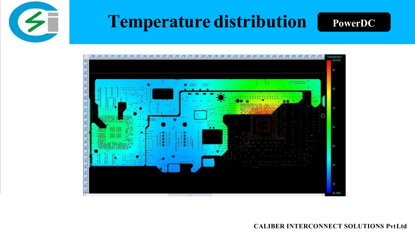

### **Temperature distribution** PowerDC



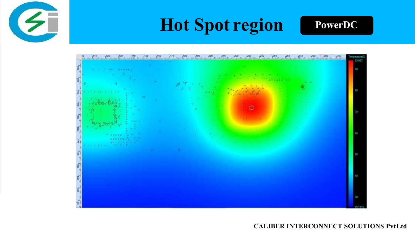

### **Hot Spot region** PowerDC

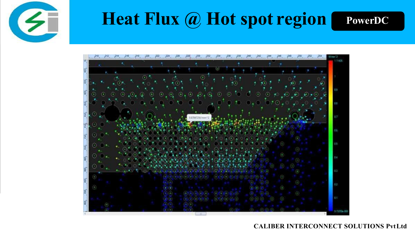

### **Heat Flux @ Hot spot region PowerDC**

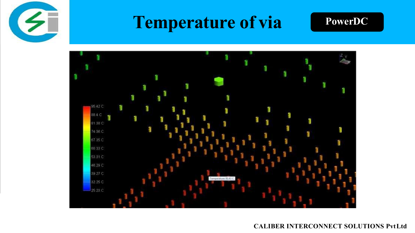

### **Temperature of via PowerDC**



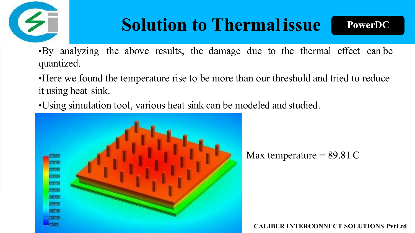

### **Solution to Thermal issue**

**PowerDC**

•By analyzing the above results, the damage due to the thermal effect can be quantized.

•Here we found the temperature rise to be more than our threshold and tried to reduce it using heat sink.

•Using simulation tool, various heat sink can be modeled andstudied.



Max temperature  $= 89.81 C$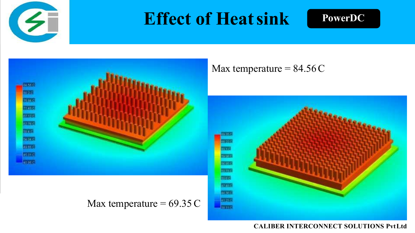

### **Effect of Heat sink** PowerDC



### Max temperature =  $84.56C$



### Max temperature =  $69.35 \text{ C}$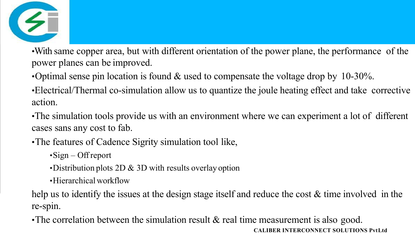

•With same copper area, but with different orientation of the power plane, the performance of the power planes can be improved.

•Optimal sense pin location is found  $\&$  used to compensate the voltage drop by 10-30%.

•Electrical/Thermal co-simulation allow us to quantize the joule heating effect and take corrective action.

•The simulation tools provide us with an environment where we can experiment a lot of different cases sans any cost to fab.

•The features of Cadence Sigrity simulation tool like,

 $\cdot$ Sign – Offreport

•Distribution plots  $2D \& 3D$  with results overlay option

•Hierarchical workflow

help us to identify the issues at the design stage itself and reduce the cost & time involved in the re-spin.

•The correlation between the simulation result & real time measurement is also good. **CALIBER INTERCONNECT SOLUTIONS PvtLtd**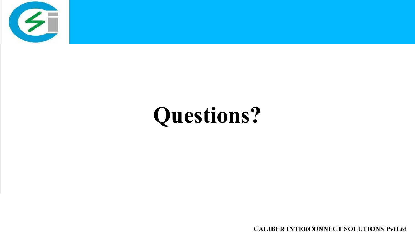

# **Questions?**